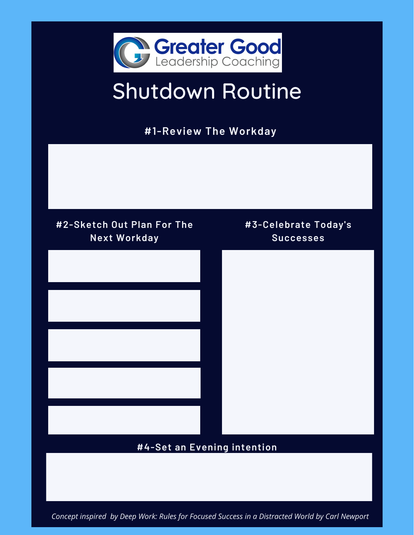

# Shutdown Routine

**#1-Review The Workday**



*Concept inspired by Deep Work: Rules for Focused Success in a Distracted World by Carl Newport*